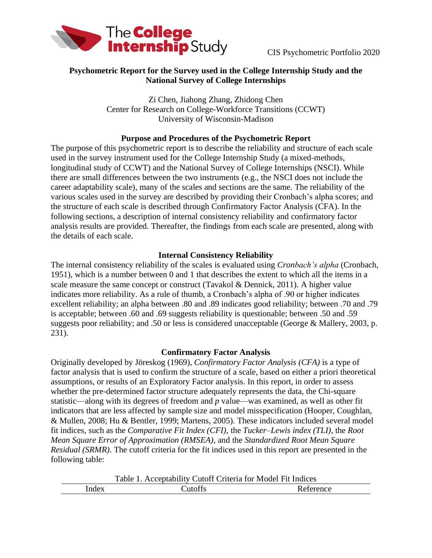

### **Psychometric Report for the Survey used in the College Internship Study and the National Survey of College Internships**

Zi Chen, Jiahong Zhang, Zhidong Chen Center for Research on College-Workforce Transitions (CCWT) University of Wisconsin-Madison

### **Purpose and Procedures of the Psychometric Report**

The purpose of this psychometric report is to describe the reliability and structure of each scale used in the survey instrument used for the College Internship Study (a mixed-methods, longitudinal study of CCWT) and the National Survey of College Internships (NSCI). While there are small differences between the two instruments (e.g., the NSCI does not include the career adaptability scale), many of the scales and sections are the same. The reliability of the various scales used in the survey are described by providing their Cronbach's alpha scores; and the structure of each scale is described through Confirmatory Factor Analysis (CFA). In the following sections, a description of internal consistency reliability and confirmatory factor analysis results are provided. Thereafter, the findings from each scale are presented, along with the details of each scale.

### **Internal Consistency Reliability**

The internal consistency reliability of the scales is evaluated using *Cronbach's alpha* (Cronbach, 1951), which is a number between 0 and 1 that describes the extent to which all the items in a scale measure the same concept or construct (Tavakol & Dennick, 2011). A higher value indicates more reliability. As a rule of thumb, a Cronbach's alpha of .90 or higher indicates excellent reliability; an alpha between .80 and .89 indicates good reliability; between .70 and .79 is acceptable; between .60 and .69 suggests reliability is questionable; between .50 and .59 suggests poor reliability; and .50 or less is considered unacceptable (George & Mallery, 2003, p. 231).

#### **Confirmatory Factor Analysis**

Originally developed by [Jöreskog](https://en.wikipedia.org/wiki/Karl_Gustav_J%C3%B6reskog) (1969), *Confirmatory Factor Analysis (CFA)* is a type of factor analysis that is used to confirm the structure of a scale, based on either a priori theoretical assumptions, or results of an Exploratory Factor analysis. In this report, in order to assess whether the pre-determined factor structure adequately represents the data, the Chi-square statistic—along with its degrees of freedom and *p* value—was examined, as well as other fit indicators that are less affected by sample size and model misspecification (Hooper, Coughlan, & Mullen, 2008; Hu & Bentler, 1999; Martens, 2005). These indicators included several model fit indices, such as the *Comparative Fit Index (CFI)*, the *Tucker–Lewis index (TLI)*, the *Root Mean Square Error of Approximation (RMSEA)*, and the *Standardized Root Mean Square Residual (SRMR)*. The cutoff criteria for the fit indices used in this report are presented in the following table:

Table 1. Acceptability Cutoff Criteria for Model Fit Indices

| -- | --<br>---------- |
|----|------------------|
|    |                  |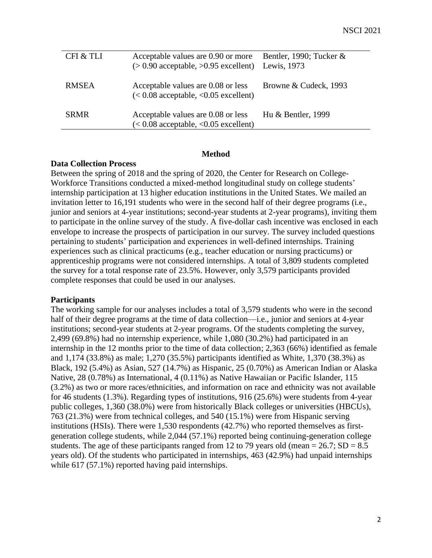| CFI & TLI    | Acceptable values are $0.90$ or more Bentler, 1990; Tucker $\&$<br>$(>0.90$ acceptable, $>0.95$ excellent) Lewis, 1973 |                       |
|--------------|------------------------------------------------------------------------------------------------------------------------|-----------------------|
| <b>RMSEA</b> | Acceptable values are 0.08 or less<br>$(< 0.08$ acceptable, $< 0.05$ excellent)                                        | Browne & Cudeck, 1993 |
| <b>SRMR</b>  | Acceptable values are 0.08 or less<br>$(< 0.08$ acceptable, $< 0.05$ excellent)                                        | Hu & Bentler, 1999    |

#### **Method**

#### **Data Collection Process**

Between the spring of 2018 and the spring of 2020, the Center for Research on College-Workforce Transitions conducted a mixed-method longitudinal study on college students' internship participation at 13 higher education institutions in the United States. We mailed an invitation letter to 16,191 students who were in the second half of their degree programs (i.e., junior and seniors at 4-year institutions; second-year students at 2-year programs), inviting them to participate in the online survey of the study. A five-dollar cash incentive was enclosed in each envelope to increase the prospects of participation in our survey. The survey included questions pertaining to students' participation and experiences in well-defined internships. Training experiences such as clinical practicums (e.g., teacher education or nursing practicums) or apprenticeship programs were not considered internships. A total of 3,809 students completed the survey for a total response rate of 23.5%. However, only 3,579 participants provided complete responses that could be used in our analyses.

#### **Participants**

The working sample for our analyses includes a total of 3,579 students who were in the second half of their degree programs at the time of data collection—i.e., junior and seniors at 4-year institutions; second-year students at 2-year programs. Of the students completing the survey, 2,499 (69.8%) had no internship experience, while 1,080 (30.2%) had participated in an internship in the 12 months prior to the time of data collection; 2,363 (66%) identified as female and 1,174 (33.8%) as male; 1,270 (35.5%) participants identified as White, 1,370 (38.3%) as Black, 192 (5.4%) as Asian, 527 (14.7%) as Hispanic, 25 (0.70%) as American Indian or Alaska Native, 28 (0.78%) as International, 4 (0.11%) as Native Hawaiian or Pacific Islander, 115 (3.2%) as two or more races/ethnicities, and information on race and ethnicity was not available for 46 students (1.3%). Regarding types of institutions, 916 (25.6%) were students from 4-year public colleges, 1,360 (38.0%) were from historically Black colleges or universities (HBCUs), 763 (21.3%) were from technical colleges, and 540 (15.1%) were from Hispanic serving institutions (HSIs). There were 1,530 respondents (42.7%) who reported themselves as firstgeneration college students, while 2,044 (57.1%) reported being continuing-generation college students. The age of these participants ranged from 12 to 79 years old (mean  $= 26.7$ ; SD  $= 8.5$ ) years old). Of the students who participated in internships, 463 (42.9%) had unpaid internships while 617 (57.1%) reported having paid internships.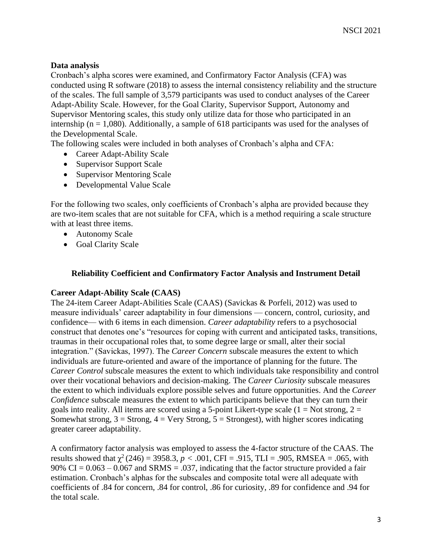## **Data analysis**

Cronbach's alpha scores were examined, and Confirmatory Factor Analysis (CFA) was conducted using R software (2018) to assess the internal consistency reliability and the structure of the scales. The full sample of 3,579 participants was used to conduct analyses of the Career Adapt-Ability Scale. However, for the Goal Clarity, Supervisor Support, Autonomy and Supervisor Mentoring scales, this study only utilize data for those who participated in an internship ( $n = 1,080$ ). Additionally, a sample of 618 participants was used for the analyses of the Developmental Scale.

The following scales were included in both analyses of Cronbach's alpha and CFA:

- Career Adapt-Ability Scale
- Supervisor Support Scale
- Supervisor Mentoring Scale
- Developmental Value Scale

For the following two scales, only coefficients of Cronbach's alpha are provided because they are two-item scales that are not suitable for CFA, which is a method requiring a scale structure with at least three items.

- Autonomy Scale
- Goal Clarity Scale

#### **Reliability Coefficient and Confirmatory Factor Analysis and Instrument Detail**

#### **Career Adapt-Ability Scale (CAAS)**

The 24-item Career Adapt-Abilities Scale (CAAS) (Savickas & Porfeli, 2012) was used to measure individuals' career adaptability in four dimensions — concern, control, curiosity, and confidence— with 6 items in each dimension. *Career adaptability* refers to a psychosocial construct that denotes one's "resources for coping with current and anticipated tasks, transitions, traumas in their occupational roles that, to some degree large or small, alter their social integration." (Savickas, 1997). The *Career Concern* subscale measures the extent to which individuals are future-oriented and aware of the importance of planning for the future. The *Career Control* subscale measures the extent to which individuals take responsibility and control over their vocational behaviors and decision-making. The *Career Curiosity* subscale measures the extent to which individuals explore possible selves and future opportunities. And the *Career Confidence* subscale measures the extent to which participants believe that they can turn their goals into reality. All items are scored using a 5-point Likert-type scale  $(1 = Not strong, 2 = 1)$ Somewhat strong,  $3 =$  Strong,  $4 =$  Very Strong,  $5 =$  Strongest), with higher scores indicating greater career adaptability.

A confirmatory factor analysis was employed to assess the 4-factor structure of the CAAS. The results showed that  $\chi^2(246) = 3958.3$ ,  $p < .001$ , CFI = .915, TLI = .905, RMSEA = .065, with 90% CI =  $0.063 - 0.067$  and SRMS = .037, indicating that the factor structure provided a fair estimation. Cronbach's alphas for the subscales and composite total were all adequate with coefficients of .84 for concern, .84 for control, .86 for curiosity, .89 for confidence and .94 for the total scale.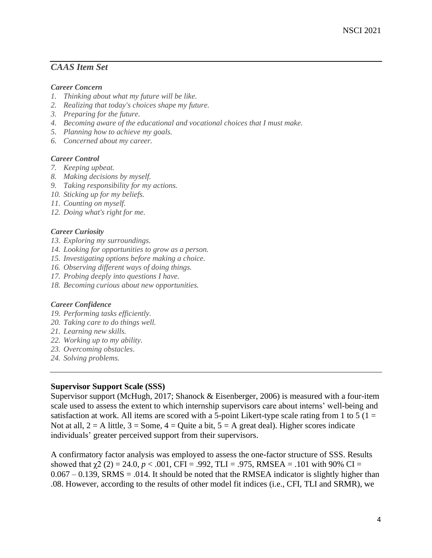# *CAAS Item Set*

#### *Career Concern*

- *1. Thinking about what my future will be like.*
- *2. Realizing that today's choices shape my future.*
- *3. Preparing for the future.*
- *4. Becoming aware of the educational and vocational choices that I must make.*
- *5. Planning how to achieve my goals.*
- *6. Concerned about my career.*

#### *Career Control*

- *7. Keeping upbeat.*
- *8. Making decisions by myself.*
- *9. Taking responsibility for my actions.*
- *10. Sticking up for my beliefs.*
- *11. Counting on myself.*
- *12. Doing what's right for me.*

#### *Career Curiosity*

- *13. Exploring my surroundings.*
- *14. Looking for opportunities to grow as a person.*
- *15. Investigating options before making a choice.*
- *16. Observing different ways of doing things.*
- *17. Probing deeply into questions I have.*
- *18. Becoming curious about new opportunities.*

#### *Career Confidence*

- *19. Performing tasks efficiently.*
- *20. Taking care to do things well.*
- *21. Learning new skills.*
- *22. Working up to my ability.*
- *23. Overcoming obstacles.*
- *24. Solving problems.*

#### **Supervisor Support Scale (SSS)**

Supervisor support (McHugh, 2017; Shanock & Eisenberger, 2006) is measured with a four-item scale used to assess the extent to which internship supervisors care about interns' well-being and satisfaction at work. All items are scored with a 5-point Likert-type scale rating from 1 to 5 ( $1 =$ Not at all,  $2 = A$  little,  $3 = Some$ ,  $4 = Quite$  a bit,  $5 = A$  great deal). Higher scores indicate individuals' greater perceived support from their supervisors.

A confirmatory factor analysis was employed to assess the one-factor structure of SSS. Results showed that  $\chi$ 2 (2) = 24.0, *p* < .001, CFI = .992, TLI = .975, RMSEA = .101 with 90% CI =  $0.067 - 0.139$ , SRMS = .014. It should be noted that the RMSEA indicator is slightly higher than .08. However, according to the results of other model fit indices (i.e., CFI, TLI and SRMR), we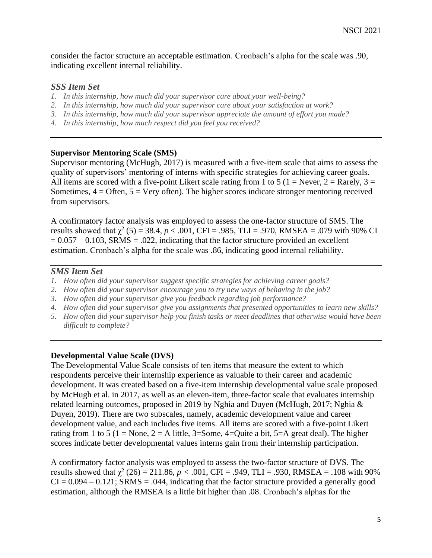consider the factor structure an acceptable estimation. Cronbach's alpha for the scale was .90, indicating excellent internal reliability.

### *SSS Item Set*

- *1. In this internship, how much did your supervisor care about your well-being?*
- *2. In this internship, how much did your supervisor care about your satisfaction at work?*
- *3. In this internship, how much did your supervisor appreciate the amount of effort you made?*
- *4. In this internship, how much respect did you feel you received?*

### **Supervisor Mentoring Scale (SMS)**

Supervisor mentoring (McHugh, 2017) is measured with a five-item scale that aims to assess the quality of supervisors' mentoring of interns with specific strategies for achieving career goals. All items are scored with a five-point Likert scale rating from 1 to 5 (1 = Never, 2 = Rarely, 3 = Sometimes,  $4 =$  Often,  $5 =$  Very often). The higher scores indicate stronger mentoring received from supervisors.

A confirmatory factor analysis was employed to assess the one-factor structure of SMS. The results showed that  $\chi^2$  (5) = 38.4, *p* < .001, CFI = .985, TLI = .970, RMSEA = .079 with 90% CI  $= 0.057 - 0.103$ , SRMS = .022, indicating that the factor structure provided an excellent estimation. Cronbach's alpha for the scale was .86, indicating good internal reliability.

## *SMS Item Set*

- *1. How often did your supervisor suggest specific strategies for achieving career goals?*
- *2. How often did your supervisor encourage you to try new ways of behaving in the job?*
- *3. How often did your supervisor give you feedback regarding job performance?*
- *4. How often did your supervisor give you assignments that presented opportunities to learn new skills?*
- *5. How often did your supervisor help you finish tasks or meet deadlines that otherwise would have been difficult to complete?*

## **Developmental Value Scale (DVS)**

The Developmental Value Scale consists of ten items that measure the extent to which respondents perceive their internship experience as valuable to their career and academic development. It was created based on a five-item internship developmental value scale proposed by McHugh et al. in 2017, as well as an eleven-item, three-factor scale that evaluates internship related learning outcomes, proposed in 2019 by Nghia and Duyen (McHugh, 2017; Nghia & Duyen, 2019). There are two subscales, namely, academic development value and career development value, and each includes five items. All items are scored with a five-point Likert rating from 1 to 5 (1 = None, 2 = A little, 3=Some, 4=Quite a bit, 5=A great deal). The higher scores indicate better developmental values interns gain from their internship participation.

A confirmatory factor analysis was employed to assess the two-factor structure of DVS. The results showed that  $\chi^2$  (26) = 211.86, *p* < .001, CFI = .949, TLI = .930, RMSEA = .108 with 90%  $CI = 0.094 - 0.121$ ; SRMS = .044, indicating that the factor structure provided a generally good estimation, although the RMSEA is a little bit higher than .08. Cronbach's alphas for the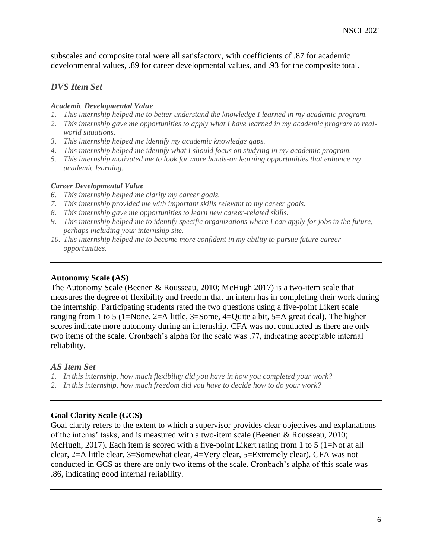subscales and composite total were all satisfactory, with coefficients of .87 for academic developmental values, .89 for career developmental values, and .93 for the composite total.

## *DVS Item Set*

#### *Academic Developmental Value*

- *1. This internship helped me to better understand the knowledge I learned in my academic program.*
- *2. This internship gave me opportunities to apply what I have learned in my academic program to realworld situations.*
- *3. This internship helped me identify my academic knowledge gaps.*
- *4. This internship helped me identify what I should focus on studying in my academic program.*
- *5. This internship motivated me to look for more hands-on learning opportunities that enhance my academic learning.*

#### *Career Developmental Value*

- *6. This internship helped me clarify my career goals.*
- *7. This internship provided me with important skills relevant to my career goals.*
- *8. This internship gave me opportunities to learn new career-related skills.*
- *9. This internship helped me to identify specific organizations where I can apply for jobs in the future, perhaps including your internship site.*
- *10. This internship helped me to become more confident in my ability to pursue future career opportunities.*

#### **Autonomy Scale (AS)**

The Autonomy Scale (Beenen & Rousseau, 2010; McHugh 2017) is a two-item scale that measures the degree of flexibility and freedom that an intern has in completing their work during the internship. Participating students rated the two questions using a five-point Likert scale ranging from 1 to 5 (1=None, 2=A little, 3=Some, 4=Quite a bit, 5=A great deal). The higher scores indicate more autonomy during an internship. CFA was not conducted as there are only two items of the scale. Cronbach's alpha for the scale was .77, indicating acceptable internal reliability.

#### *AS Item Set*

- *1. In this internship, how much flexibility did you have in how you completed your work?*
- *2. In this internship, how much freedom did you have to decide how to do your work?*

#### **Goal Clarity Scale (GCS)**

Goal clarity refers to the extent to which a supervisor provides clear objectives and explanations of the interns' tasks, and is measured with a two-item scale (Beenen & Rousseau, 2010; McHugh, 2017). Each item is scored with a five-point Likert rating from 1 to 5 (1=Not at all clear, 2=A little clear, 3=Somewhat clear, 4=Very clear, 5=Extremely clear). CFA was not conducted in GCS as there are only two items of the scale. Cronbach's alpha of this scale was .86, indicating good internal reliability.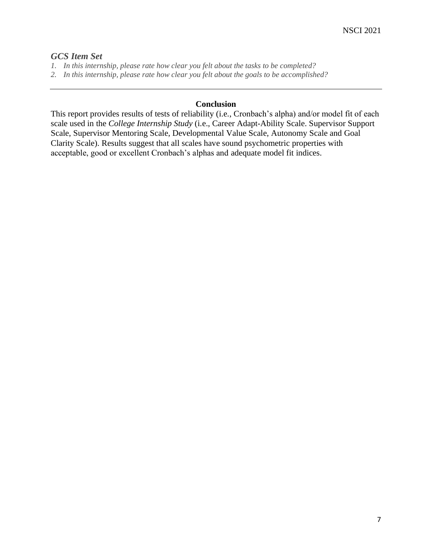# *GCS Item Set*

- *1. In this internship, please rate how clear you felt about the tasks to be completed?*
- *2. In this internship, please rate how clear you felt about the goals to be accomplished?*

#### **Conclusion**

This report provides results of tests of reliability (i.e., Cronbach's alpha) and/or model fit of each scale used in the *College Internship Study* (i.e., Career Adapt-Ability Scale. Supervisor Support Scale, Supervisor Mentoring Scale, Developmental Value Scale, Autonomy Scale and Goal Clarity Scale). Results suggest that all scales have sound psychometric properties with acceptable, good or excellent Cronbach's alphas and adequate model fit indices.